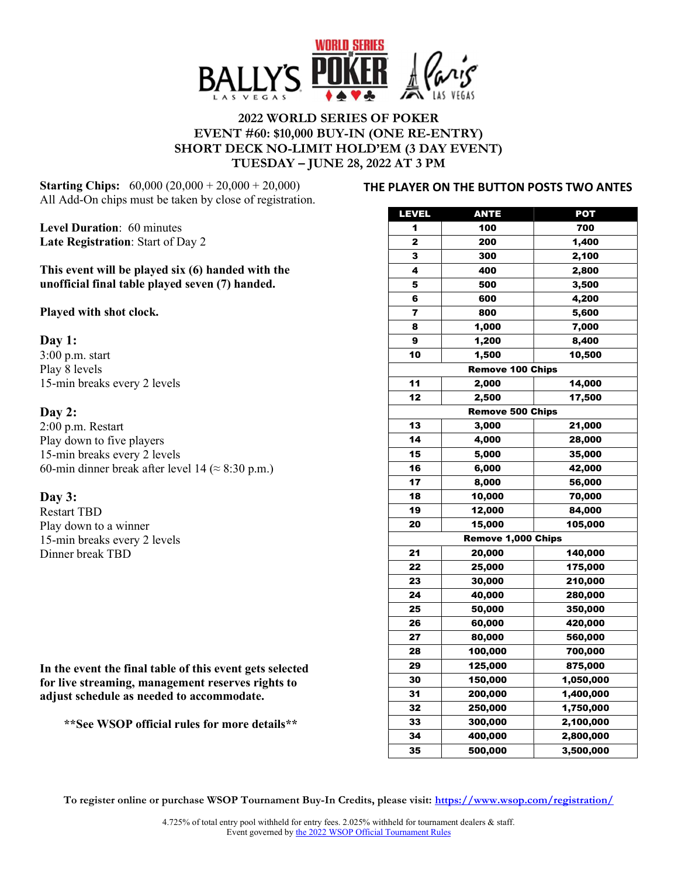

# 2022 WORLD SERIES OF POKER EVENT #60: \$10,000 BUY-IN (ONE RE-ENTRY) SHORT DECK NO-LIMIT HOLD'EM (3 DAY EVENT) TUESDAY – JUNE 28, 2022 AT 3 PM

Starting Chips: 60,000 (20,000 + 20,000 + 20,000) All Add-On chips must be taken by close of registration.

Level Duration: 60 minutes Late Registration: Start of Day 2

This event will be played six (6) handed with the unofficial final table played seven (7) handed.

Played with shot clock.

### Day 1:

3:00 p.m. start Play 8 levels 15-min breaks every 2 levels

# Day 2:

2:00 p.m. Restart Play down to five players 15-min breaks every 2 levels 60-min dinner break after level 14 ( $\approx$  8:30 p.m.)

## Day 3:

Restart TBD Play down to a winner 15-min breaks every 2 levels Dinner break TBD

In the event the final table of this event gets selected for live streaming, management reserves rights to adjust schedule as needed to accommodate.

\*\*See WSOP official rules for more details\*\*

#### THE PLAYER ON THE BUTTON POSTS TWO ANTES

| LEVEL                         | <b>ANTE</b> | <b>POT</b> |
|-------------------------------|-------------|------------|
| 1                             | 100         | 700        |
| 2                             | 200         | 1,400      |
| 3                             | 300         | 2,100      |
| 4                             | 400         | 2,800      |
| 5                             | 500         | 3,500      |
| 6                             | 600         | 4,200      |
| 7                             | 800         | 5,600      |
| 8                             | 1,000       | 7,000      |
| 9                             | 1,200       | 8,400      |
| 10                            | 1,500       | 10,500     |
|                               |             |            |
| <b>Remove 100 Chips</b><br>11 |             |            |
|                               | 2,000       | 14,000     |
| 12                            | 2,500       | 17,500     |
| <b>Remove 500 Chips</b>       |             |            |
| 13                            | 3,000       | 21,000     |
| 14                            | 4,000       | 28,000     |
| 15                            | 5,000       | 35,000     |
| 16                            | 6,000       | 42,000     |
| 17                            | 8,000       | 56,000     |
| 18                            | 10,000      | 70,000     |
| 19                            | 12,000      | 84,000     |
| 20                            | 15,000      | 105,000    |
| Remove 1,000 Chips            |             |            |
| 21                            | 20,000      | 140,000    |
| 22                            | 25,000      | 175,000    |
| 23                            | 30,000      | 210,000    |
| 24                            | 40,000      | 280,000    |
| 25                            | 50,000      | 350,000    |
| 26                            | 60,000      | 420,000    |
| 27                            | 80,000      | 560,000    |
| 28                            | 100,000     | 700,000    |
| 29                            | 125,000     | 875,000    |
| 30                            | 150,000     | 1,050,000  |
| 31                            | 200,000     | 1,400,000  |
| 32                            | 250,000     | 1,750,000  |
| 33                            | 300,000     | 2,100,000  |
| 34                            | 400,000     | 2,800,000  |
| 35                            | 500,000     | 3,500,000  |

To register online or purchase WSOP Tournament Buy-In Credits, please visit: https://www.wsop.com/registration/